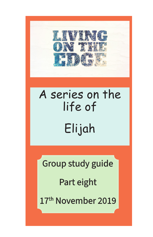

# A series on the life of Elijah

Group study guide

Part eight

17<sup>th</sup> November 2019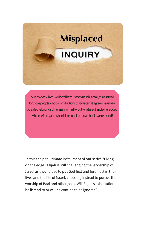# **Misplaced INQUIRY**

Evil is a word which we don't like to use too much, if at all, it is reserved for those people who commit actions that we can all agree on are way outside the bounds of human normality. But what is evil, and where does evil come from, and when it is recognised how should we respond?

In this the penultimate installment of our series "Living on the edge," Elijah is still challenging the leadership of Israel as they refuse to put God first and foremost in their lives and the life of Israel, choosing instead to pursue the worship of Baal and other gods. Will Elijah's exhortation be listend to or will he contine to be ignored?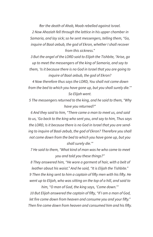*fter the death of Ahab, Moab rebelled against Israel.*

 *2 Now Ahaziah fell through the lattice in his upper chamber in Samaria, and lay sick; so he sent messengers, telling them, "Go, inquire of Baal-zebub, the god of Ekron, whether I shall recover from this sickness."*

 *3 But the angel of the LORD said to Elijah the Tishbite, "Arise, go up to meet the messengers of the king of Samaria, and say to them, 'Is it because there is no God in Israel that you are going to inquire of Baal-zebub, the god of Ekron?*

 *4 Now therefore thus says the LORD, You shall not come down from the bed to which you have gone up, but you shall surely die.'" So Elijah went.*

 *5 The messengers returned to the king, and he said to them, "Why have you returned?"*

 *6 And they said to him, "There came a man to meet us, and said to us, 'Go back to the king who sent you, and say to him, Thus says the LORD, Is it because there is no God in Israel that you are sending to inquire of Baal-zebub, the god of Ekron? Therefore you shall not come down from the bed to which you have gone up, but you shall surely die.'"*

 *7 He said to them, "What kind of man was he who came to meet you and told you these things?"*

 *8 They answered him, "He wore a garment of hair, with a belt of leather about his waist." And he said, "It is Elijah the Tishbite." 9 Then the king sent to him a captain of fifty men with his fifty. He went up to Elijah, who was sitting on the top of a hill, and said to* 

*him, "O man of God, the king says, 'Come down.'" 10 But Elijah answered the captain of fifty, "If I am a man of God, let fire come down from heaven and consume you and your fifty." Then fire came down from heaven and consumed him and his fifty.*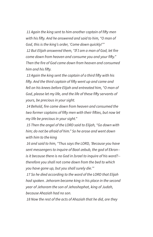*11 Again the king sent to him another captain of fifty men with his fifty. And he answered and said to him, "O man of God, this is the king's order, 'Come down quickly!'"*

 *12 But Elijah answered them, "If I am a man of God, let fire come down from heaven and consume you and your fifty." Then the fire of God came down from heaven and consumed him and his fifty.*

 *13 Again the king sent the captain of a third fifty with his fifty. And the third captain of fifty went up and came and fell on his knees before Elijah and entreated him, "O man of God, please let my life, and the life of these fifty servants of yours, be precious in your sight.*

 *14 Behold, fire came down from heaven and consumed the two former captains of fifty men with their fifties, but now let my life be precious in your sight."*

 *15 Then the angel of the LORD said to Elijah, "Go down with him; do not be afraid of him." So he arose and went down with him to the king*

 *16 and said to him, "Thus says the LORD, 'Because you have sent messengers to inquire of Baal-zebub, the god of Ekron- is it because there is no God in Israel to inquire of his word?- therefore you shall not come down from the bed to which you have gone up, but you shall surely die.'"*

 *17 So he died according to the word of the LORD that Elijah had spoken. Jehoram became king in his place in the second year of Jehoram the son of Jehoshaphat, king of Judah, because Ahaziah had no son.*

 *18 Now the rest of the acts of Ahaziah that he did, are they*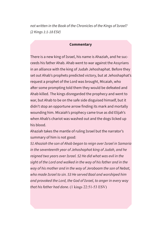*not written in the Book of the Chronicles of the Kings of Israel? (2 Kings 1:1-18 ESV)*

#### **Commentary**

There is a new king of Israel, his name is Ahaziah, and he succeeds his father Ahab. Ahab went to war against the Assyrians in an alliance with the king of Judah Jehoshaphat. Before they set out Ahab's prophets predicted victory, but at Jehoshaphat's request a prophet of the Lord was brought, Micaiah, who after some prompting told them they would be defeated and Ahab killed. The kings disregarded the prophecy and went to war, but Ahab to be on the safe side disguised himself, but it didn't stop an opportune arrow finding its mark and mortally wounding him. Micaiah's prophecy came true as did Elijah's when Ahab's chariot was washed out and the dogs licked up his blood.

Ahaziah takes the mantle of ruling Israel but the narrator's summary of him is not good:

*51 Ahaziah the son of Ahab began to reign over Israel in Samaria in the seventeenth year of Jehoshaphat king of Judah, and he reigned two years over Israel. 52 He did what was evil in the sight of the Lord and walked in the way of his father and in the way of his mother and in the way of Jeroboam the son of Nebat, who made Israel to sin. 53 He served Baal and worshiped him and provoked the Lord, the God of Israel, to anger in every way that his father had done.* (1 kings 22:51-53 ESV)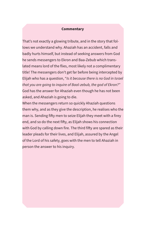# **Commentary**

That's not exactly a glowing tribute, and in the story that follows we understand why. Ahaziah has an accident, falls and badly hurts himself, but instead of seeking answers from God he sends messengers to Ekron and Baa-Zebub which translated means lord of the flies, most likely not a complimentary title! The messengers don't get far before being intercepted by Elijah who has a question, "*Is it because there is no God in Israel that you are going to inquire of Baal-zebub, the god of Ekron?"* God has the answer for Ahaziah even though he has not been asked, and Ahaziah is going to die.

When the messengers return so quickly Ahaziah questions them why, and as they give the description, he realises who the man is. Sending fifty men to seize Elijah they meet with a firey end, and so do the next fifty, as Elijah shows his connection with God by calling down fire. The third fifty are spared as their leader pleads for their lives, and Elijah, assured by the Angel of the Lord of his safety, goes with the men to tell Ahaziah in person the answer to his inquiry.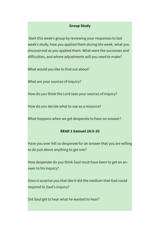# **Group Study**

 Start this week's group by reviewing your responses to last week's study, how you applied them during the week, what you discoverved as you applied them. What were the successes and difficulties, and where adjustments will you need to make?

What would you like to find out about?

What are your sources of inquiry?

How do you think the Lord sees your sources of inquiry?

How do you decide what to use as a resource?

What happens when we get desperate to hear an answer?

# **READ 1 Samuel 28:5-20**

Have you ever felt so desperate for an answer that you are willing to do just about anything to get one?

How desperate do you think Saul must have been to get an answer to his inquiry?

Does it surprise you that like it did the medium that God could respond to Saul's inquiry?

Did Saul get to hear what he wanted to hear?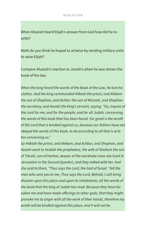When Ahaziah heard Elijah's answer from God how did he reactte?

Waht do you think he hoped to acheive by sending military units to seize Elijah?

Compare Ahaziah's reaction to Josiah's when he was shown the book of the law.

*When the king heard the words of the Book of the Law, he tore his clothes. And the king commanded Hilkiah the priest, and Ahikam the son of Shaphan, and Achbor the son of Micaiah, and Shaphan the secretary, and Asaiah the king's servant, saying, "Go, inquire of the Lord for me, and for the people, and for all Judah, concerning the words of this book that has been found. For great is the wrath of the Lord that is kindled against us, because our fathers have not obeyed the words of this book, to do according to all that is written concerning us."*

*So Hilkiah the priest, and Ahikam, and Achbor, and Shaphan, and Asaiah went to Huldah the prophetess, the wife of Shallum the son of Tikvah, son of Harhas, keeper of the wardrobe (now she lived in Jerusalem in the Second Quarter), and they talked with her. And she said to them, "Thus says the Lord, the God of Israel: 'Tell the man who sent you to me, Thus says the Lord, Behold, I will bring disaster upon this place and upon its inhabitants, all the words of the book that the king of Judah has read. Because they have forsaken me and have made offerings to other gods, that they might provoke me to anger with all the work of their hands, therefore my wrath will be kindled against this place, and it will not be*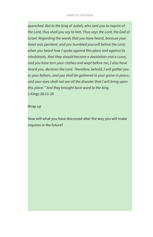q*uenched. But to the king of Judah, who sent you to inquire of the Lord, thus shall you say to him, Thus says the Lord, the God of Israel: Regarding the words that you have heard, because your heart was penitent, and you humbled yourself before the Lord, when you heard how I spoke against this place and against its inhabitants, that they should become a desolation and a curse, and you have torn your clothes and wept before me, I also have heard you, declares the Lord. Therefore, behold, I will gather you to your fathers, and you shall be gathered to your grave in peace, and your eyes shall not see all the disaster that I will bring upon this place.'" And they brought back word to the king.* 2 Kings 28:11-20

Wrap up

How will what you have discussed alter the way you will make inquires in the future?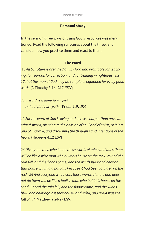# **Personal study**

In the sermon three ways of using God's resources was mentioned. Read the following scriptures about the three, and consider how you practice them and react to them.

### **The Word**

 1*6 All Scripture is breathed out by God and profitable for teaching, for reproof, for correction, and for training in righteousness, 17 that the man of God may be complete, equipped for every good work.* (2 Timothy 3:16 -217 ESV)

*Your word is a lamp to my feet and a light to my path*. (Psalm 119:105)

*12 For the word of God is living and active, sharper than any twoedged sword, piercing to the division of soul and of spirit, of joints and of marrow, and discerning the thoughts and intentions of the heart.* (Hebrews 4:12 ESV)

*24 "Everyone then who hears these words of mine and does them will be like a wise man who built his house on the rock. 25 And the rain fell, and the floods came, and the winds blew and beat on that house, but it did not fall, because it had been founded on the rock. 26 And everyone who hears these words of mine and does not do them will be like a foolish man who built his house on the sand. 27 And the rain fell, and the floods came, and the winds blew and beat against that house, and it fell, and great was the fall of it."* (Matthew 7:24-27 ESV)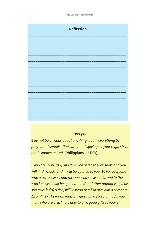

#### **Prayer**

*6 do not be anxious about anything, but in everything by prayer and supplication with thanksgiving let your requests be made known to God.* (Philippians 4:6 ESV)

*9 And I tell you, ask, and it will be given to you; seek, and you will find; knock, and it will be opened to you. 10 For everyone who asks receives, and the one who seeks finds, and to the one who knocks it will be opened. 11 What father among you, if his son asks for[a] a fish, will instead of a fish give him a serpent; 12 or if he asks for an egg, will give him a scorpion? 13 If you then, who are evil, know how to give good gifts to your chil-*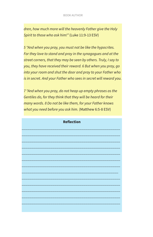*dren, how much more will the heavenly Father give the Holy Spirit to those who ask him!"* (Luke 11:9-13 ESV)

*5 "And when you pray, you must not be like the hypocrites. For they love to stand and pray in the synagogues and at the street corners, that they may be seen by others. Truly, I say to you, they have received their reward. 6 But when you pray, go into your room and shut the door and pray to your Father who is in secret. And your Father who sees in secret will reward you.*

*7 "And when you pray, do not heap up empty phrases as the Gentiles do, for they think that they will be heard for their many words. 8 Do not be like them, for your Father knows what you need before you ask him.* (Matthew 6:5-8 ESV)

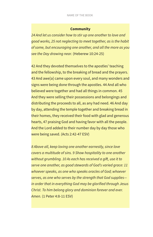# **Community**

*24 And let us consider how to stir up one another to love and good works, 25 not neglecting to meet together, as is the habit of some, but encouraging one another, and all the more as you see the Day drawing near.* (Heberew 10:24-25)

42 And they devoted themselves to the apostles' teaching and the fellowship, to the breaking of bread and the prayers. 43 And awe[a] came upon every soul, and many wonders and signs were being done through the apostles. 44 And all who believed were together and had all things in common. 45 And they were selling their possessions and belongings and distributing the proceeds to all, as any had need. 46 And day by day, attending the temple together and breaking bread in their homes, they received their food with glad and generous hearts, 47 praising God and having favor with all the people. And the Lord added to their number day by day those who were being saved. (Acts 2:42-47 ESV)

*8 Above all, keep loving one another earnestly, since love covers a multitude of sins. 9 Show hospitality to one another without grumbling. 10 As each has received a gift, use it to serve one another, as good stewards of God's varied grace: 11 whoever speaks, as one who speaks oracles of God; whoever serves, as one who serves by the strength that God supplies in order that in everything God may be glorified through Jesus Christ. To him belong glory and dominion forever and ever. Amen.* (1 Peter 4:8-11 ESV)